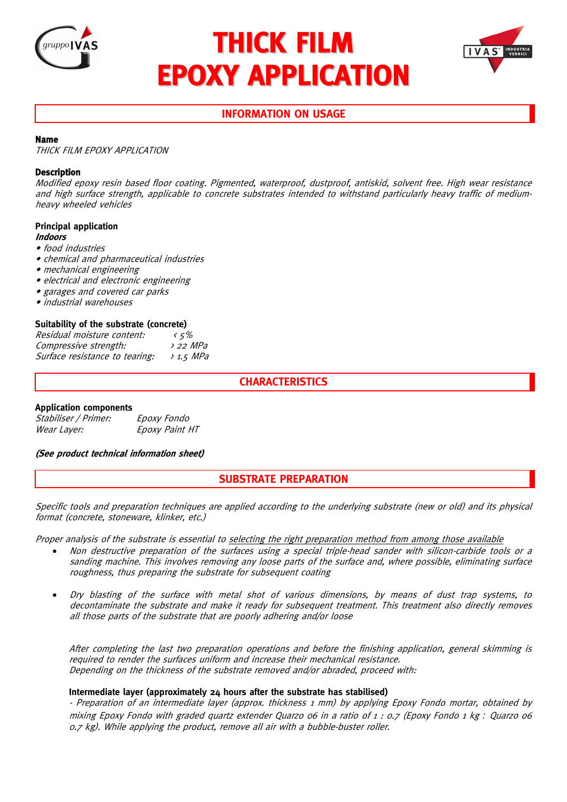

# **THICK FILM EPOXY APPLICATION**



# **INFORMATION ON USAGE**

## **Name**

THICK FILM EPOXY APPLICATION

## **Description**

Modified epoxy resin based floor coating. Pigmented, waterproof, dustproof, antiskid, solvent free. High wear resistance and high surface strength, applicable to concrete substrates intended to withstand particularly heavy traffic of mediumheavy wheeled vehicles

# **Principal application**

#### **Indoors**

- food industries
- chemical and pharmaceutical industries
- mechanical engineering
- electrical and electronic engineering
- garages and covered car parks
- industrial warehouses

## **Suitability of the substrate (concrete)**

| Residual moisture content:     | 45%                   |
|--------------------------------|-----------------------|
| Compressive strength:          | $\lambda$ 22 MPa      |
| Surface resistance to tearing: | $\rightarrow$ 1.5 MPa |

# **CHARACTERISTICS**

# **Application components**

| Stabiliser / Primer: | Epoxy Fondo    |
|----------------------|----------------|
| Wear Layer:          | Epoxy Paint HT |

#### **(See product technical information sheet)**

# **SUBSTRATE PREPARATION**

Specific tools and preparation techniques are applied according to the underlying substrate (new or old) and its physical format (concrete, stoneware, klinker, etc.)

Proper analysis of the substrate is essential to selecting the right preparation method from among those available

- Non destructive preparation of the surfaces using a special triple-head sander with silicon-carbide tools or a sanding machine. This involves removing any loose parts of the surface and, where possible, eliminating surface roughness, thus preparing the substrate for subsequent coating
- Dry blasting of the surface with metal shot of various dimensions, by means of dust trap systems, to decontaminate the substrate and make it ready for subsequent treatment. This treatment also directly removes all those parts of the substrate that are poorly adhering and/or loose

After completing the last two preparation operations and before the finishing application, general skimming is required to render the surfaces uniform and increase their mechanical resistance. Depending on the thickness of the substrate removed and/or abraded, proceed with:

#### **Intermediate layer (approximately 24 hours after the substrate has stabilised)**

- Preparation of an intermediate layer (approx. thickness 1 mm) by applying Epoxy Fondo mortar, obtained by mixing Epoxy Fondo with graded quartz extender Quarzo 06 in a ratio of 1 : 0.7 (Epoxy Fondo 1 kg *:* Quarzo 06 0.7 kg). While applying the product, remove all air with a bubble-buster roller.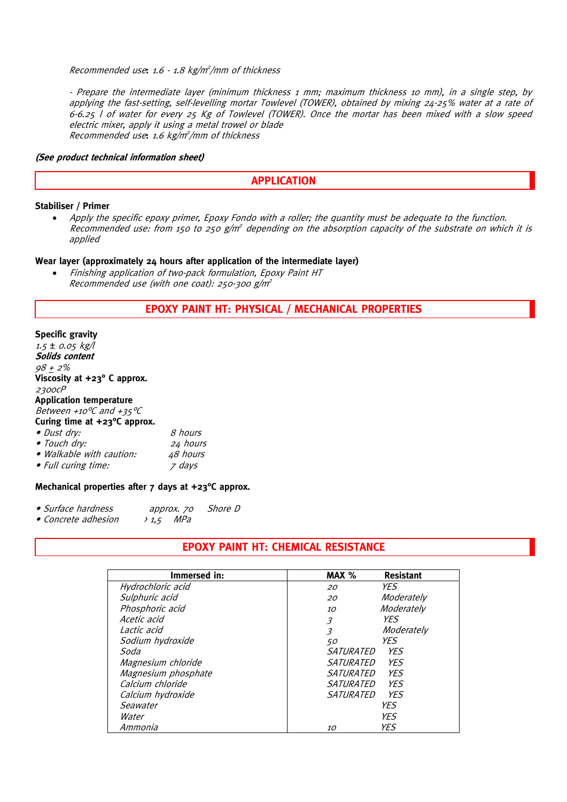#### Recommended use**:** 1.6 - 1.8 kg/m<sup>2</sup> /mm of thickness

- Prepare the intermediate layer (minimum thickness 1 mm; maximum thickness 10 mm), in a single step, by applying the fast-setting, self-levelling mortar Towlevel (TOWER), obtained by mixing 24-25% water at a rate of 6-6.25 l of water for every 25 Kg of Towlevel (TOWER). Once the mortar has been mixed with a slow speed electric mixer, apply it using a metal trowel or blade Recommended use**:** 1.6 kg/m<sup>2</sup> /mm of thickness

#### **(See product technical information sheet)**

# **APPLICATION**

#### **Stabiliser / Primer**

Apply the specific epoxy primer, Epoxy Fondo with a roller; the quantity must be adequate to the function. Recommended use: from 150 to 250  $g/m^2$  depending on the absorption capacity of the substrate on which it is applied

#### **Wear layer (approximately 24 hours after application of the intermediate layer)**

• Finishing application of two-pack formulation, Epoxy Paint HT Recommended use (with one coat): 250-300  $g/m^2$ 

# **EPOXY PAINT HT: PHYSICAL / MECHANICAL PROPERTIES**

# **Specific gravity**

| $1.5 \pm 0.05$ kg/l                    |          |
|----------------------------------------|----------|
| Solids content                         |          |
| $98 + 2\%$                             |          |
| Viscosity at +23° C approx.            |          |
| 2300CP                                 |          |
| <b>Application temperature</b>         |          |
| Between +10°C and +35°C                |          |
| Curing time at $+23^{\circ}$ C approx. |          |
| • Dust dry:                            | 8 hours  |
| • Touch dry:                           | 24 hours |
| · Walkable with caution:               | 48 hours |
| • Full curing time:                    | z days   |

#### **Mechanical properties after 7 days at +23°C approx.**

| • Surface hardness | approx. 70 | Shore D |
|--------------------|------------|---------|
|                    | $-140$     |         |

• Concrete adhesion > 1,5 MPa

# **EPOXY PAINT HT: CHEMICAL RESISTANCE**

| Immersed in:        | MAX %<br><b>Resistant</b>              |
|---------------------|----------------------------------------|
| Hydrochloric acid   | YFS<br>20                              |
| Sulphuric acid      | Moderately<br>20                       |
| Phosphoric acid     | Moderately<br>10                       |
| Acetic acid         | YFS<br>3                               |
| Lactic acid         | Moderately<br>$\overline{\mathcal{E}}$ |
| Sodium hydroxide    | YFS<br>50                              |
| Soda                | <i>SATURATED</i><br>YFS                |
| Magnesium chloride  | YFS<br>SATURATED                       |
| Magnesium phosphate | <b>SATURATED</b><br>YF <sub>S</sub>    |
| Calcium chloride    | YFS<br>SATURATED                       |
| Calcium hydroxide   | SATURATED<br>YFS                       |
| Seawater            | YFS                                    |
| Water               | YFS                                    |
| Ammonia             | YFS<br><i>10</i>                       |